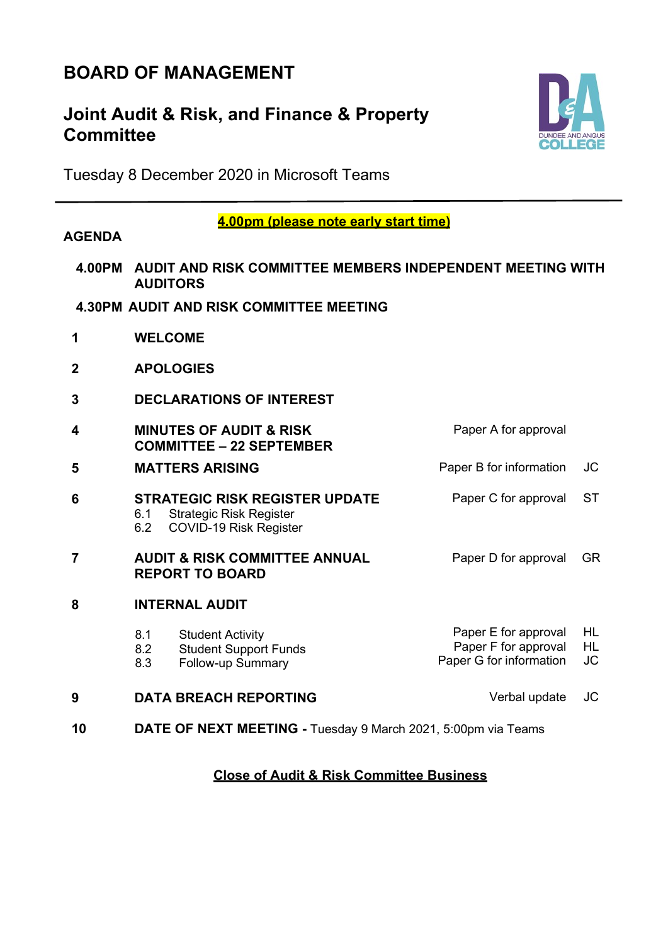# **BOARD OF MANAGEMENT**

## **Joint Audit & Risk, and Finance & Property Committee**



Tuesday 8 December 2020 in Microsoft Teams

#### **4.00pm (please note early start time)**

### **AGENDA**

- **4.00PM AUDIT AND RISK COMMITTEE MEMBERS INDEPENDENT MEETING WITH AUDITORS**
- **4.30PM AUDIT AND RISK COMMITTEE MEETING**
- **1 WELCOME**
- **2 APOLOGIES**
- **3 DECLARATIONS OF INTEREST**
- **4 MINUTES OF AUDIT & RISK COMMITTEE – 22 SEPTEMBER** Paper A for approval
- **5 MATTERS ARISING Paper B for information** JC **6 STRATEGIC RISK REGISTER UPDATE** Paper C for approval ST
- 6.1 Strategic Risk Register<br>6.2 COVID-19 Risk Registe 6.2 COVID-19 Risk Register **7 AUDIT & RISK COMMITTEE ANNUAL REPORT TO BOARD** Paper D for approval GR
- **8 INTERNAL AUDIT**
	- 8.1 Student Activity<br>8.2 Student Support 8.2 Student Support Funds<br>8.3 Follow-up Summary Follow-up Summary Paper E for approval Paper F for approval Paper G for information HL HL JC
- **9 DATA BREACH REPORTING** Verbal update JC
- **10 DATE OF NEXT MEETING -** Tuesday 9 March 2021, 5:00pm via Teams

## **Close of Audit & Risk Committee Business**